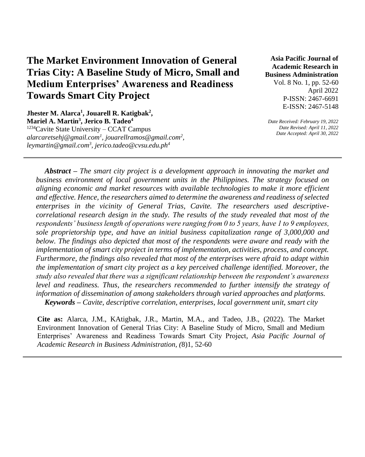# **The Market Environment Innovation of General Trias City: A Baseline Study of Micro, Small and Medium Enterprises' Awareness and Readiness Towards Smart City Project**

**Jhester M. Alarca<sup>1</sup> , Jouarell R. Katigbak<sup>2</sup> , Mariel A. Martin<sup>3</sup> , Jerico B. Tadeo<sup>4</sup>**  $1234$ Cavite State University – CCAT Campus *alarcaretsehj@gmail.com<sup>1</sup> , jouarellramos@gmail.com<sup>2</sup> , leymartin@gmail.com<sup>3</sup> , jerico.tadeo@cvsu.edu.ph<sup>4</sup>*

**Asia Pacific Journal of Academic Research in Business Administration**  Vol. 8 No. 1, pp. 52-60 April 2022 P-ISSN: 2467-6691 E-ISSN: 2467-5148

*Date Received: February 19, 2022 Date Revised: April 11, 2022 Date Accepted: April 30, 2022* 

*Abstract – The smart city project is a development approach in innovating the market and business environment of local government units in the Philippines. The strategy focused on aligning economic and market resources with available technologies to make it more efficient and effective. Hence, the researchers aimed to determine the awareness and readiness of selected enterprises in the vicinity of General Trias, Cavite. The researchers used descriptivecorrelational research design in the study. The results of the study revealed that most of the respondents' business length of operations were ranging from 0 to 5 years, have 1 to 9 employees, sole proprietorship type, and have an initial business capitalization range of 3,000,000 and below. The findings also depicted that most of the respondents were aware and ready with the implementation of smart city project in terms of implementation, activities, process, and concept. Furthermore, the findings also revealed that most of the enterprises were afraid to adapt within the implementation of smart city project as a key perceived challenge identified. Moreover, the study also revealed that there was a significant relationship between the respondent's awareness level and readiness. Thus, the researchers recommended to further intensify the strategy of information of dissemination of among stakeholders through varied approaches and platforms. Keywords – Cavite, descriptive correlation, enterprises, local government unit, smart city* 

**Cite as:** Alarca, J.M., KAtigbak, J.R., Martin, M.A., and Tadeo, J.B., (2022). The Market Environment Innovation of General Trias City: A Baseline Study of Micro, Small and Medium Enterprises' Awareness and Readiness Towards Smart City Project, *Asia Pacific Journal of Academic Research in Business Administration, (*8)1, 52-60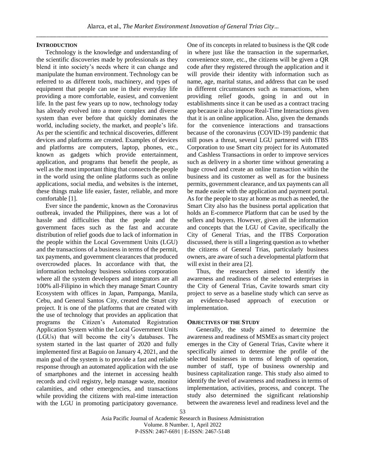#### **INTRODUCTION**

Technology is the knowledge and understanding of the scientific discoveries made by professionals as they blend it into society's needs where it can change and manipulate the human environment. Technology can be referred to as different tools, machinery, and types of equipment that people can use in their everyday life providing a more comfortable, easiest, and convenient life. In the past few years up to now, technology today has already evolved into a more complex and diverse system than ever before that quickly dominates the world, including society, the market, and people's life. As per the scientific and technical discoveries, different devices and platforms are created. Examples of devices and platforms are computers, laptop, phones, etc., known as gadgets which provide entertainment, application, and programs that benefit the people, as well as the most important thing that connects the people in the world using the online platforms such as online applications, social media, and websites is the internet, these things make life easier, faster, reliable, and more comfortable [1].

Ever since the pandemic, known as the Coronavirus outbreak, invaded the Philippines, there was a lot of hassle and difficulties that the people and the government faces such as the fast and accurate distribution of relief goods due to lack of information in the people within the Local Government Units (LGU) and the transactions of a business in terms of the permit, tax payments, and government clearances that produced overcrowded places. In accordance with that, the information technology business solutions corporation where all the system developers and integrators are all 100% all-Filipino in which they manage Smart Country Ecosystem with offices in Japan, Pampanga, Manila, Cebu, and General Santos City, created the Smart city project. It is one of the platforms that are created with the use of technology that provides an application that programs the Citizen's Automated Registration Application System within the Local Government Units (LGUs) that will become the city's databases. The system started in the last quarter of 2020 and fully implemented first at Baguio on January 4, 2021, and the main goal of the system is to provide a fast and reliable response through an automated application with the use of smartphones and the internet in accessing health records and civil registry, help manage waste, monitor calamities, and other emergencies, and transactions while providing the citizens with real-time interaction with the LGU in promoting participatory governance.

One of its concepts in related to business is the QR code in where just like the transaction in the supermarket, convenience store, etc., the citizens will be given a QR code after they registered through the application and it will provide their identity with information such as name, age, marital status, and address that can be used in different circumstances such as transactions, when providing relief goods, going in and out in establishments since it can be used as a contract tracing app because it also impose Real-Time Interactions given that it is an online application. Also, given the demands for the convenience interactions and transactions because of the coronavirus (COVID-19) pandemic that still poses a threat, several LGU partnered with ITBS Corporation to use Smart city project for its Automated and Cashless Transactions in order to improve services such as delivery in a shorter time without generating a huge crowd and create an online transaction within the business and its customer as well as for the business permits, government clearance, and tax payments can all be made easier with the application and payment portal. As for the people to stay at home as much as needed, the Smart City also has the business portal application that holds an E-commerce Platform that can be used by the sellers and buyers. However, given all the information and concepts that the LGU of Cavite, specifically the City of General Trias, and the ITBS Corporation discussed, there is still a lingering question as to whether the citizens of General Trias, particularly business owners, are aware of such a developmental platform that will exist in their area [2].

Thus, the researchers aimed to identify the awareness and readiness of the selected enterprises in the City of General Trias, Cavite towards smart city project to serve as a baseline study which can serve as an evidence-based approach of execution or implementation.

#### **OBJECTIVES OF THE STUDY**

Generally, the study aimed to determine the awareness and readiness of MSMEs as smart city project emerges in the City of General Trias, Cavite where it specifically aimed to determine the profile of the selected businesses in terms of length of operation, number of staff, type of business ownership and business capitalization range. This study also aimed to identify the level of awareness and readiness in terms of implementation, activities, process, and concept. The study also determined the significant relationship between the awareness level and readiness level and the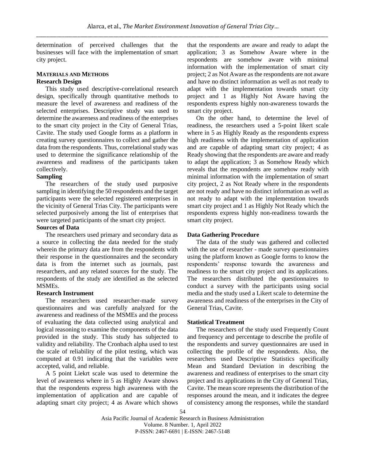determination of perceived challenges that the businesses will face with the implementation of smart city project.

## **MATERIALS AND METHODS Research Design**

This study used descriptive-correlational research design, specifically through quantitative methods to measure the level of awareness and readiness of the selected enterprises. Descriptive study was used to determine the awareness and readiness of the enterprises to the smart city project in the City of General Trias, Cavite. The study used Google forms as a platform in creating survey questionnaires to collect and gather the data from the respondents. Thus, correlational study was used to determine the significance relationship of the awareness and readiness of the participants taken collectively.

## **Sampling**

The researchers of the study used purposive sampling in identifying the 50 respondents and the target participants were the selected registered enterprises in the vicinity of General Trias City. The participants were selected purposively among the list of enterprises that were targeted participants of the smart city project.

## **Sources of Data**

The researchers used primary and secondary data as a source in collecting the data needed for the study wherein the primary data are from the respondents with their response in the questionnaires and the secondary data is from the internet such as journals, past researchers, and any related sources for the study. The respondents of the study are identified as the selected MSMEs.

### **Research Instrument**

The researchers used researcher-made survey questionnaires and was carefully analyzed for the awareness and readiness of the MSMEs and the process of evaluating the data collected using analytical and logical reasoning to examine the components of the data provided in the study. This study has subjected to validity and reliability. The Cronbach alpha used to test the scale of reliability of the pilot testing, which was computed at 0.91 indicating that the variables were accepted, valid, and reliable.

A 5 point Liekrt scale was used to determine the level of awareness where in 5 as Highly Aware shows that the respondents express high awareness with the implementation of application and are capable of adapting smart city project; 4 as Aware which shows that the respondents are aware and ready to adapt the application; 3 as Somehow Aware where in the respondents are somehow aware with minimal information with the implementation of smart city project; 2 as Not Aware as the respondents are not aware and have no distinct information as well as not ready to adapt with the implementation towards smart city project and 1 as Highly Not Aware having the respondents express highly non-awareness towards the smart city project.

On the other hand, to determine the level of readiness, the researchers used a 5-point likert scale where in 5 as Highly Ready as the respondents express high readiness with the implementation of application and are capable of adapting smart city project; 4 as Ready showing that the respondents are aware and ready to adapt the application; 3 as Somehow Ready which reveals that the respondents are somehow ready with minimal information with the implementation of smart city project, 2 as Not Ready where in the respondents are not ready and have no distinct information as well as not ready to adapt with the implementation towards smart city project and 1 as Highly Not Ready which the respondents express highly non-readiness towards the smart city project.

### **Data Gathering Procedure**

The data of the study was gathered and collected with the use of researcher - made survey questionnaires using the platform known as Google forms to know the respondents' response towards the awareness and readiness to the smart city project and its applications. The researchers distributed the questionnaires to conduct a survey with the participants using social media and the study used a Likert scale to determine the awareness and readiness of the enterprises in the City of General Trias, Cavite.

#### **Statistical Treatment**

The researchers of the study used Frequently Count and frequency and percentage to describe the profile of the respondents and survey questionnaires are used in collecting the profile of the respondents. Also, the researchers used Descriptive Statistics specifically Mean and Standard Deviation in describing the awareness and readiness of enterprises to the smart city project and its applications in the City of General Trias, Cavite. The mean score represents the distribution of the responses around the mean, and it indicates the degree of consistency among the responses, while the standard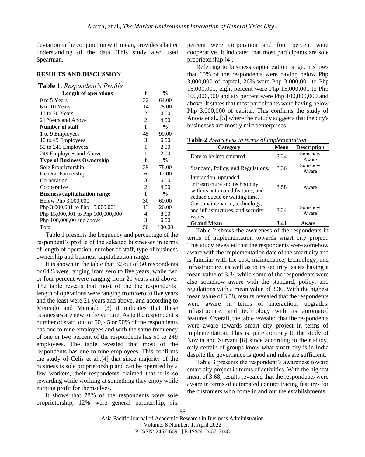deviation in the conjunction with mean, provides a better understanding of the data. This study also used Spearman.

## **RESULTS AND DISCUSSION**

#### **Table 1**. *Respondent's Profile*

| <b>Length of operations</b>          | f  | $\frac{0}{0}$ |
|--------------------------------------|----|---------------|
| 0 to 5 Years                         | 32 | 64.00         |
| 6 to 10 Years                        | 14 | 28.00         |
| 11 to 20 Years                       | 2  | 4.00          |
| 21 Years and Above                   | 2  | 4.00          |
| <b>Number of staff</b>               | f  | $\frac{0}{0}$ |
| 1 to 9 Employees                     | 45 | 90.00         |
| 10 to 49 Employees                   | 3  | 6.00          |
| 50 to 249 Employees                  | 1  | 2.00          |
| 249 Employees and Above              | 1  | 2.00          |
| <b>Type of Business Ownership</b>    | f  | $\frac{0}{0}$ |
| Sole Proprietorship                  | 39 | 78.00         |
| General Partnership                  | 6  | 12.00         |
| Corporation                          | 3  | 6.00          |
| Cooperative                          | 2  | 4.00          |
| <b>Business capitalization range</b> | f  | $\frac{6}{6}$ |
| Below Php 3,000,000                  | 30 | 60.00         |
| Php 3,000,001 to Php 15,000,001      | 13 | 26.00         |
| Php 15,000,001 to Php 100,000,000    | 4  | 8.00          |
| Php 100,000,00 and above             | 3  | 6.00          |
| Total                                | 50 | 100.00        |

Table 1 presents the frequency and percentage of the respondent's profile of the selected businesses in terms of length of operation, number of staff, type of business ownership and business capitalization range.

It is shown in the table that 32 out of 50 respondents or 64% were ranging from zero to five years, while two or four percent were ranging from 21 years and above. The table reveals that most of the the respondents' length of operations were ranging from zero to five years and the least were 21 years and above, and according to Mercado and Mercado [3] it indicates that these businesses are new to the venture. As to the respondent's number of staff, out of 50, 45 or 90% of the respondents has one to nine employees and with the same frequency of one or two percent of the respondents has 50 to 249 employees. The table revealed that most of the respondents has one to nine employees. This confirms the study of Celis et al.,[4] that since majority of the business is sole proprietorship and can be operated by a few workers, their respondents claimed that it is so rewarding while working at something they enjoy while earning profit for themselves.

It shows that 78% of the respondents were sole proprietorship, 12% were general partnership, six

percent were corporation and four percent were cooperative. It indicated that most participants are sole proprietorship [4].

Referring to business capitalization range, it shows that 60% of the respondents were having below Php 3,000,000 of capital, 26% were Php 3,000,001 to Php 15,000,001, eight percent were Php 15,000,001 to Php 100,000,000 and six percent were Php 100,000,000 and above. It states that most participants were having below Php 3,000,000 of capital. This confirms the study of Anoos et al., [5] where their study suggests that the city's businesses are mostly microenterprises.

**Table 2** *Awareness in terms of implementation*

| Category                                                                                                                    | <b>Mean</b> | <b>Description</b> |
|-----------------------------------------------------------------------------------------------------------------------------|-------------|--------------------|
| Date to be implemented.                                                                                                     | 3.34        | Somehow<br>Aware   |
| Standard, Policy, and Regulations.                                                                                          | 3.36        | Somehow<br>Aware   |
| Interaction, upgraded<br>infrastructure and technology<br>with its automated features, and<br>reduce queue or waiting time. | 3.58        | Aware              |
| Cost, maintenance, technology,<br>and infrastructures, and security<br>issues.                                              | 3.34        | Somehow<br>Aware   |
| <b>Grand Mean</b>                                                                                                           | 3.41        | Aware              |

Table 2 shows the awareness of the respondents in terms of implementation towards smart city project. This study revealed that the respondents were somehow aware with the implementation date of the smart city and is familiar with the cost, maintenance, technology, and infrastructure, as well as to its security issues having a mean value of 3.34 while some of the respondents were also somehow aware with the standard, policy, and regulations with a mean value of 3.36. With the highest mean value of 3.58, results revealed that the respondents were aware in terms of interaction, upgrades, infrastructure, and technology with its automated features. Overall, the table revealed that the respondents were aware towards smart city project in terms of implementation. This is quite contrary to the study of Novita and Suryani [6] since according to their study, only certain of groups know what smart city is in India despite the governance is good and rules are sufficient.

Table 3 presents the respondent's awareness toward smart city project in terms of activities. With the highest mean of 3.68, results revealed that the respondents were aware in terms of automated contact tracing features for the customers who come in and out the establishments.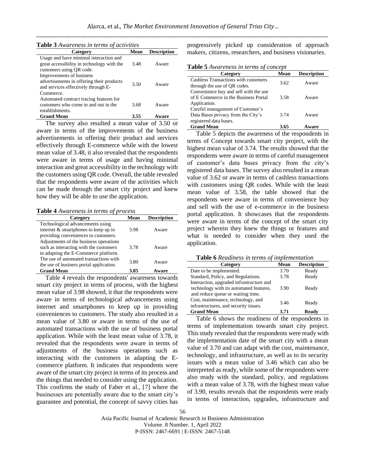|  | Table 3 Awareness in terms of activities |
|--|------------------------------------------|
|  |                                          |

| Category                                                                                                                  | Mean | <b>Description</b> |
|---------------------------------------------------------------------------------------------------------------------------|------|--------------------|
| Usage and have minimal interaction and<br>great accessibility in technology with the<br>customers using QR code.          | 3.48 | Aware              |
| Improvements of business<br>advertisements in offering their products<br>and services effectively through E-<br>Commerce. | 3.50 | Aware              |
| Automated contract tracing features for<br>customers who come in and out in the<br>establishments.                        | 3.68 | Aware              |
| <b>Grand Mean</b>                                                                                                         | 3.55 | Aware              |

The survey also resulted a mean value of 3.50 or aware in terms of the improvements of the business advertisements in offering their product and services effectively through E-commerce while with the lowest mean value of 3.48, it also revealed that the respondents were aware in terms of usage and having minimal interaction and great accessibility in the technology with the customers using QR code. Overall, the table revealed that the respondents were aware of the activities which can be made through the smart city project and knew how they will be able to use the application.

**Table 4** *Awareness in terms of process*

| Category                                | Mean | <b>Description</b> |
|-----------------------------------------|------|--------------------|
| Technological advancements using        |      |                    |
| internet & smartphones to keep up in    | 3.98 | Aware              |
| providing conveniences to customers.    |      |                    |
| Adjustments of the business operations  |      |                    |
| such as interacting with the customers  | 3.78 | Aware              |
| in adapting the E-Commerce platform.    |      |                    |
| The use of automated transactions with  | 3.80 | Aware              |
| the use of business portal application. |      |                    |
| <b>Grand Mean</b>                       | 3.85 | Aware              |

Table 4 reveals the respondents' awareness towards smart city project in terms of process, with the highest mean value of 3.98 showed, it that the respondents were aware in terms of technological advancements using internet and smartphones to keep up in providing conveniences to customers. The study also resulted in a mean value of 3.80 or aware in terms of the use of automated transactions with the use of business portal application. While with the least mean value of 3.78, it revealed that the respondents were aware in terms of adjustments of the business operations such as interacting with the customers in adapting the Ecommerce platform. It indicates that respondents were aware of the smart city project in terms of its process and the things that needed to consider using the application. This confirms the study of Faber et al., [7] where the businesses are potentially aware due to the smart city's guarantee and potential, the concept of savvy cities has progressively picked up consideration of approach makers, citizens, researchers, and business visionaries.

**Table 5** *Awareness in terms of concept*

| Category                                                                                         | Mean | <b>Description</b> |
|--------------------------------------------------------------------------------------------------|------|--------------------|
| Cashless Transactions with customers<br>through the use of QR codes.                             | 3.62 | Aware              |
| Convenience buy and sell with the use<br>of E Commerce in the Business Portal<br>Application.    | 3.58 | Aware              |
| Careful management of Customer's<br>Data Bases privacy from the City's<br>registered data bases. | 3.74 | Aware              |
| <b>Grand Mean</b>                                                                                | 3.65 | ware               |

Table 5 depicts the awareness of the respondents in terms of Concept towards smart city project, with the highest mean value of 3.74. The results showed that the respondents were aware in terms of careful management of customer's data bases privacy from the city's registered data bases. The survey also resulted in a mean value of 3.62 or aware in terms of cashless transactions with customers using QR codes. While with the least mean value of 3.58, the table showed that the respondents were aware in terms of convenience buy and sell with the use of e-commerce in the business portal application. It showcases that the respondents were aware in terms of the concept of the smart city project wherein they knew the things or features and what is needed to consider when they used the application.

| <b>Table 6</b> Readiness in terms of implementation |  |  |  |
|-----------------------------------------------------|--|--|--|
|-----------------------------------------------------|--|--|--|

| Category                                                                                                                 | Mean | <b>Description</b> |  |  |
|--------------------------------------------------------------------------------------------------------------------------|------|--------------------|--|--|
| Date to be implemented.                                                                                                  | 3.70 | Ready              |  |  |
| Standard, Policy, and Regulations.                                                                                       | 3.78 | Ready              |  |  |
| Interaction, upgraded infrastructure and<br>technology with its automated features,<br>and reduce queue or waiting time. | 3.90 | Ready              |  |  |
| Cost, maintenance, technology, and<br>infrastructures, and security issues.                                              | 3.46 | Ready              |  |  |
| <b>Grand Mean</b>                                                                                                        | 3.71 | Readv              |  |  |

Table 6 shows the readiness of the respondents in terms of implementation towards smart city project. This study revealed that the respondents were ready with the implementation date of the smart city with a mean value of 3.70 and can adapt with the cost, maintenance, technology, and infrastructure, as well as to its security issues with a mean value of 3.46 which can also be interpreted as ready, while some of the respondents were also ready with the standard, policy, and regulations with a mean value of 3.78, with the highest mean value of 3.90, results reveals that the respondents were ready in terms of interaction, upgrades, infrastructure and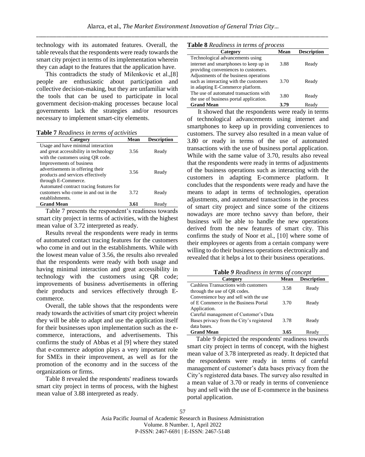technology with its automated features. Overall, the table reveals that the respondents were ready towards the smart city project in terms of its implementation wherein they can adapt to the features that the application have.

This contradicts the study of Milenkovic et al.,[8] people are enthusiastic about participation and collective decision-making, but they are unfamiliar with the tools that can be used to participate in local government decision-making processes because local governments lack the strategies and/or resources necessary to implement smart-city elements.

**Table 7** *Readiness in terms of activities*

| Category                                                                    | Mean | <b>Description</b> |
|-----------------------------------------------------------------------------|------|--------------------|
| Usage and have minimal interaction<br>and great accessibility in technology | 3.56 | Ready              |
| with the customers using QR code.<br>Improvements of business               |      |                    |
| advertisements in offering their<br>products and services effectively       | 3.56 | Ready              |
| through E-Commerce.                                                         |      |                    |
| Automated contract tracing features for                                     |      |                    |
| customers who come in and out in the                                        | 3.72 | Ready              |
| establishments.                                                             |      |                    |
| <b>Grand Mean</b>                                                           | 3.61 | Ready              |

Table 7 presents the respondent's readiness towards smart city project in terms of activities, with the highest mean value of 3.72 interpreted as ready.

Results reveal the respondents were ready in terms of automated contact tracing features for the customers who come in and out in the establishments. While with the lowest mean value of 3.56, the results also revealed that the respondents were ready with both usage and having minimal interaction and great accessibility in technology with the customers using QR code; improvements of business advertisements in offering their products and services effectively through Ecommerce.

Overall, the table shows that the respondents were ready towards the activities of smart city project wherein they will be able to adapt and use the application itself for their businesses upon implementation such as the ecommerce, interactions, and advertisements. This confirms the study of Abbas et al [9] where they stated that e-commerce adoption plays a very important role for SMEs in their improvement, as well as for the promotion of the economy and in the success of the organizations or firms.

Table 8 revealed the respondents' readiness towards smart city project in terms of process, with the highest mean value of 3.88 interpreted as ready.

| <b>Table 8</b> Readiness in terms of process |  |  |  |  |
|----------------------------------------------|--|--|--|--|
|----------------------------------------------|--|--|--|--|

| $\blacksquare$ which is a contribution of $\rho_1$ become |      |                    |  |  |
|-----------------------------------------------------------|------|--------------------|--|--|
| Category                                                  | Mean | <b>Description</b> |  |  |
| Technological advancements using                          |      |                    |  |  |
| internet and smartphones to keep up in                    | 3.88 | Ready              |  |  |
| providing conveniences to customers.                      |      |                    |  |  |
| Adjustments of the business operations                    |      |                    |  |  |
| such as interacting with the customers                    | 3.70 | Ready              |  |  |
| in adapting E-Commerce platform.                          |      |                    |  |  |
| The use of automated transactions with                    | 3.80 |                    |  |  |
| the use of business portal application.                   |      | Ready              |  |  |
| <b>Grand Mean</b>                                         | 3.79 | Ready              |  |  |

It showed that the respondents were ready in terms of technological advancements using internet and smartphones to keep up in providing conveniences to customers. The survey also resulted in a mean value of 3.80 or ready in terms of the use of automated transactions with the use of business portal application. While with the same value of 3.70, results also reveal that the respondents were ready in terms of adjustments of the business operations such as interacting with the customers in adapting E-commerce platform. It concludes that the respondents were ready and have the means to adapt in terms of technologies, operation adjustments, and automated transactions in the process of smart city project and since some of the citizens nowadays are more techno savvy than before, their business will be able to handle the new operations derived from the new features of smart city. This confirms the study of Noor et al., [10] where some of their employees or agents from a certain company were willing to do their business operations electronically and revealed that it helps a lot to their business operations.

**Table** *9 Readiness in terms of concept*

| Category                                 | Mean | <b>Description</b> |
|------------------------------------------|------|--------------------|
| Cashless Transactions with customers     | 3.58 | Ready              |
| through the use of QR codes.             |      |                    |
| Convenience buy and sell with the use    |      |                    |
| of E Commerce in the Business Portal     | 3.70 | Ready              |
| Application.                             |      |                    |
| Careful management of Customer's Data    |      |                    |
| Bases privacy from the City's registered | 3.78 | Ready              |
| data bases.                              |      |                    |
| <b>Grand Mean</b>                        | 3.65 | Readv              |

Table 9 depicted the respondents' readiness towards smart city project in terms of concept, with the highest mean value of 3.78 interpreted as ready. It depicted that the respondents were ready in terms of careful management of customer's data bases privacy from the City's registered data bases. The survey also resulted in a mean value of 3.70 or ready in terms of convenience buy and sell with the use of E-commerce in the business portal application.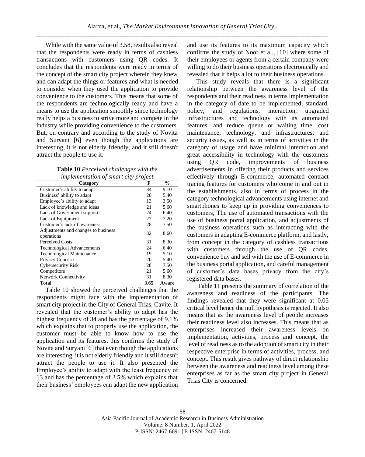While with the same value of 3.58, results also reveal that the respondents were ready in terms of cashless transactions with customers using QR codes. It concludes that the respondents were ready in terms of the concept of the smart city project wherein they knew and can adapt the things or features and what is needed to consider when they used the application to provide convenience to the customers. This means that some of the respondents are technologically ready and have a means to use the application smoothly since technology really helps a business to strive more and compete in the industry while providing convenience to the customers. But, on contrary and according to the study of Novita and Suryani [6] even though the applications are interesting, it is not elderly friendly, and it still doesn't attract the people to use it.

| <b>Table 10</b> Perceived challenges with the |  |
|-----------------------------------------------|--|
| implementation of smart city project          |  |

| Category                                          | F    | $\frac{0}{0}$ |
|---------------------------------------------------|------|---------------|
| Customer's ability to adapt                       | 34   | 9.10          |
| Business' ability to adapt                        | 20   | 5.40          |
| Employee's ability to adapt                       | 13   | 3.50          |
| Lack of knowledge and ideas                       | 21   | 5.60          |
| Lack of Government support                        | 24   | 6.40          |
| Lack of Equipment                                 | 27   | 7.20          |
| Customer's lack of awareness                      | 28   | 7.50          |
| Adjustments and changes to business<br>operations | 32   | 8.60          |
| <b>Perceived Costs</b>                            | 31   | 8.30          |
| <b>Technological Advancements</b>                 | 24   | 6.40          |
| <b>Technological Maintenance</b>                  | 19   | 5.10          |
| Privacy Concern                                   | 20   | 5.40          |
| <b>Cybersecurity Risk</b>                         | 28   | 7.50          |
| Competitors                                       | 21   | 5.60          |
| <b>Network Connectivity</b>                       | 31   | 8.30          |
| Total                                             | 3.65 | Aware         |

Table 10 showed the perceived challenges that the respondents might face with the implementation of smart city project in the City of General Trias, Cavite. It revealed that the customer's ability to adapt has the highest frequency of 34 and has the percentage of 9.1% which explains that to properly use the application, the customer must be able to know how to use the application and its features, this confirms the study of Novita and Suryani [6] that even though the applications are interesting, it is not elderly friendly and it still doesn't attract the people to use it. It also presented the Employee's ability to adapt with the least frequency of 13 and has the percentage of 3.5% which explains that their business' employees can adapt the new application

and use its features to its maximum capacity which confirms the study of Noor et al., [10] where some of their employees or agents from a certain company were willing to do their business operations electronically and revealed that it helps a lot to their business operations.

This study reveals that there is a significant relationship between the awareness level of the respondents and their readiness in terms implementation in the category of date to be implemented, standard, policy, and regulations, interaction, upgraded infrastructures and technology with its automated features, and reduce queue or waiting time, cost maintenance, technology, and infrastructures, and security issues, as well as in terms of activities in the category of usage and have minimal interaction and great accessibility in technology with the customers using QR code, improvements of business advertisements in offering their products and services effectively through E-commerce, automated contract tracing features for customers who come in and out in the establishments, also in terms of process in the category technological advancements using internet and smartphones to keep up in providing conveniences to customers, The use of automated transactions with the use of business portal application, and adjustments of the business operations such as interacting with the customers in adapting E-commerce platform, and lastly, from concept in the category of cashless transactions with customers through the use of QR codes, convenience buy and sell with the use of E-commerce in the business portal application, and careful management of customer's data bases privacy from the city's registered data bases.

Table 11 presents the summary of correlation of the awareness and readiness of the participants. The findings revealed that they were significant at 0.05 critical level hence the null hypothesis is rejected. It also means that as the awareness level of people increases their readiness level also increases. This means that as enterprises increased their awareness levels on implementation, activities, process and concept, the level of readiness as to the adoption of smart city in their respective enterprise in terms of activities, process, and concept. This result gives pathway of direct relationship between the awareness and readiness level among these enterprises as far as the smart city project in General Trias City is concerned.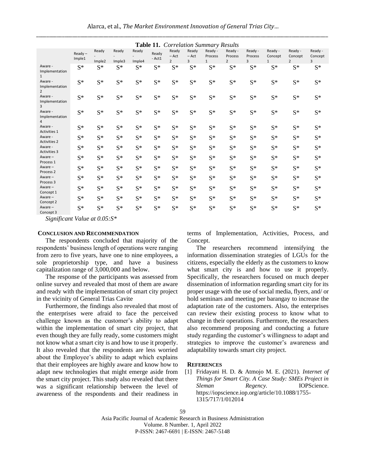| Alarca, et al., The Market Environment Innovation of General Trias City |
|-------------------------------------------------------------------------|
|                                                                         |

| Table 11. Correlation Summary Results       |                     |                 |                 |                 |                 |                                    |                       |                                    |                                      |                    |                                    |                                      |                         |
|---------------------------------------------|---------------------|-----------------|-----------------|-----------------|-----------------|------------------------------------|-----------------------|------------------------------------|--------------------------------------|--------------------|------------------------------------|--------------------------------------|-------------------------|
|                                             | $Ready -$<br>Imple1 | Ready           | Ready           | Ready           | Ready<br>- Act1 | Ready<br>$-$ Act<br>$\overline{2}$ | Ready<br>$-$ Act<br>3 | Ready -<br>Process<br>$\mathbf{1}$ | Ready -<br>Process<br>$\overline{2}$ | Ready -<br>Process | Ready -<br>Concept<br>$\mathbf{1}$ | Ready -<br>Concept<br>$\overline{2}$ | Ready -<br>Concept<br>3 |
| Aware -<br>Implementation<br>$\mathbf{1}$   | $S^*$               | Imple2<br>$S^*$ | Imple3<br>$S^*$ | Imple4<br>$S^*$ | $S^*$           | $S^*$                              | $S^*$                 | $S^*$                              | $S^*$                                | 3<br>$S^*$         | $S^*$                              | $S^*$                                | $S^*$                   |
| Aware -<br>Implementation<br>$\overline{2}$ | $S^*$               | $S^*$           | $S^*$           | $S^*$           | $S^*$           | $S^*$                              | $S^*$                 | $S^*$                              | $S^*$                                | $S^*$              | $S^*$                              | $S^*$                                | $S^*$                   |
| Aware -<br>Implementation<br>3              | $S^*$               | $S^*$           | $S^*$           | $S^*$           | $S^*$           | $S^*$                              | $S^*$                 | $S^*$                              | $S^*$                                | $S^*$              | $S^*$                              | $S^*$                                | $S^*$                   |
| Aware -<br>Implementation                   | $S^*$               | $S^*$           | $S^*$           | $S^*$           | $S^*$           | $S^*$                              | $S^*$                 | $S^*$                              | $S^*$                                | $S^*$              | $S^*$                              | $S^*$                                | $S^*$                   |
| Aware -<br>Activities 1                     | $S^*$               | $S^*$           | $S^*$           | $S^*$           | $S^*$           | $S^*$                              | $S^*$                 | $S^*$                              | $S^*$                                | $S^*$              | $S^*$                              | $S^*$                                | $S^*$                   |
| Aware -<br><b>Activities 2</b>              | $S^*$               | $S^*$           | $S^*$           | $S^*$           | $S^*$           | $S^*$                              | $S^*$                 | $S^*$                              | $S^*$                                | $S^*$              | $S^*$                              | $S^*$                                | $S^*$                   |
| Aware -<br><b>Activities 3</b>              | $S^*$               | $S^*$           | $S^*$           | $S^*$           | $S^*$           | $S^*$                              | $S^*$                 | $S^*$                              | $S^*$                                | $S^*$              | $S^*$                              | $S^*$                                | $S^*$                   |
| Aware-<br>Process <sub>1</sub>              | $S^*$               | $S^*$           | $S^*$           | $S^*$           | $S^*$           | $S^*$                              | $S^*$                 | $S^*$                              | $S^*$                                | $S^*$              | $S^*$                              | $S^*$                                | $S^*$                   |
| Aware-<br>Process <sub>2</sub>              | $S^*$               | $S^*$           | $S^*$           | $S^*$           | $S^*$           | $S^*$                              | $S^*$                 | $S^*$                              | $S^*$                                | $S^*$              | $S^*$                              | $S^*$                                | $S^*$                   |
| Aware-<br>Process 3                         | $S^*$               | $S^*$           | $S^*$           | $S^*$           | $S^*$           | $S^*$                              | $S^*$                 | $S^*$                              | $S^*$                                | $S^*$              | $S^*$                              | $S^*$                                | $S^*$                   |
| Aware $-$<br>Concept 1                      | $S^*$               | $S^*$           | $S^*$           | $S^*$           | $S^*$           | $S^*$                              | $S^*$                 | $S^*$                              | $S^*$                                | $S^*$              | $S^*$                              | $S^*$                                | $S^*$                   |
| Aware-<br>Concept 2                         | $S^*$               | $S^*$           | $S^*$           | $S^*$           | $S^*$           | $S^*$                              | $S^*$                 | $S^*$                              | $S^*$                                | $S^*$              | $S^*$                              | $S^*$                                | $S^*$                   |
| Aware $-$<br>Concept 3                      | $S^*$               | $S^*$           | $S^*$           | $S^*$           | $S^*$           | $S^*$                              | $S^*$                 | $S^*$                              | $S^*$                                | $S^*$              | $S^*$                              | $S^*$                                | $S^*$                   |

*Significant Value at 0.05:S\**

#### **CONCLUSION AND RECOMMENDATION**

The respondents concluded that majority of the respondents' business length of operations were ranging from zero to five years, have one to nine employees, a sole proprietorship type, and have a business capitalization range of 3,000,000 and below.

The response of the participants was assessed from online survey and revealed that most of them are aware and ready with the implementation of smart city project in the vicinity of General Trias Cavite

Furthermore, the findings also revealed that most of the enterprises were afraid to face the perceived challenge known as the customer's ability to adapt within the implementation of smart city project, that even though they are fully ready, some customers might not know what a smart city is and how to use it properly. It also revealed that the respondents are less worried about the Employee's ability to adapt which explains that their employees are highly aware and know how to adapt new technologies that might emerge aside from the smart city project. This study also revealed that there was a significant relationship between the level of awareness of the respondents and their readiness in terms of Implementation, Activities, Process, and Concept.

The researchers recommend intensifying the information dissemination strategies of LGUs for the citizens, especially the elderly as the customers to know what smart city is and how to use it properly. Specifically, the researchers focused on much deeper dissemination of information regarding smart city for its proper usage with the use of social media, flyers, and/ or hold seminars and meeting per barangay to increase the adaptation rate of the customers. Also, the enterprises can review their existing process to know what to change in their operations. Furthermore, the researchers also recommend proposing and conducting a future study regarding the customer's willingness to adapt and strategies to improve the customer's awareness and adaptability towards smart city project.

### **REFERENCES**

[1] Fridayani H. D. & Atmojo M. E. (2021). *Internet of Things for Smart City. A Case Study: SMEs Project in Sleman Regency.* IOPScience. [https://iopscience.iop.org/article/10.1088/1755-](https://iopscience.iop.org/article/10.1088/1755-1315/717/1/012014) [1315/717/1/012014](https://iopscience.iop.org/article/10.1088/1755-1315/717/1/012014)